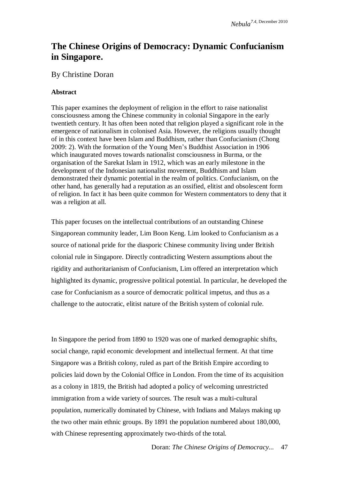## **The Chinese Origins of Democracy: Dynamic Confucianism in Singapore.**

## By Christine Doran

## **Abstract**

This paper examines the deployment of religion in the effort to raise nationalist consciousness among the Chinese community in colonial Singapore in the early twentieth century. It has often been noted that religion played a significant role in the emergence of nationalism in colonised Asia. However, the religions usually thought of in this context have been Islam and Buddhism, rather than Confucianism (Chong 2009: 2). With the formation of the Young Men"s Buddhist Association in 1906 which inaugurated moves towards nationalist consciousness in Burma, or the organisation of the Sarekat Islam in 1912, which was an early milestone in the development of the Indonesian nationalist movement, Buddhism and Islam demonstrated their dynamic potential in the realm of politics. Confucianism, on the other hand, has generally had a reputation as an ossified, elitist and obsolescent form of religion. In fact it has been quite common for Western commentators to deny that it was a religion at all.

This paper focuses on the intellectual contributions of an outstanding Chinese Singaporean community leader, Lim Boon Keng. Lim looked to Confucianism as a source of national pride for the diasporic Chinese community living under British colonial rule in Singapore. Directly contradicting Western assumptions about the rigidity and authoritarianism of Confucianism, Lim offered an interpretation which highlighted its dynamic, progressive political potential. In particular, he developed the case for Confucianism as a source of democratic political impetus, and thus as a challenge to the autocratic, elitist nature of the British system of colonial rule.

In Singapore the period from 1890 to 1920 was one of marked demographic shifts, social change, rapid economic development and intellectual ferment. At that time Singapore was a British colony, ruled as part of the British Empire according to policies laid down by the Colonial Office in London. From the time of its acquisition as a colony in 1819, the British had adopted a policy of welcoming unrestricted immigration from a wide variety of sources. The result was a multi-cultural population, numerically dominated by Chinese, with Indians and Malays making up the two other main ethnic groups. By 1891 the population numbered about 180,000, with Chinese representing approximately two-thirds of the total.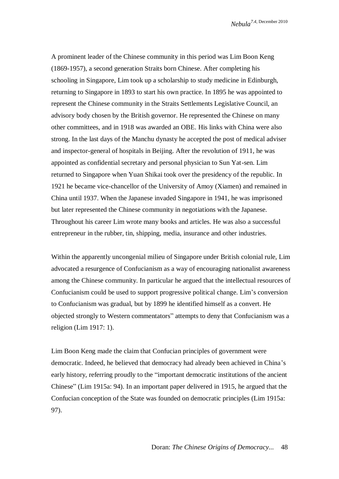A prominent leader of the Chinese community in this period was Lim Boon Keng (1869-1957), a second generation Straits born Chinese. After completing his schooling in Singapore, Lim took up a scholarship to study medicine in Edinburgh, returning to Singapore in 1893 to start his own practice. In 1895 he was appointed to represent the Chinese community in the Straits Settlements Legislative Council, an advisory body chosen by the British governor. He represented the Chinese on many other committees, and in 1918 was awarded an OBE. His links with China were also strong. In the last days of the Manchu dynasty he accepted the post of medical adviser and inspector-general of hospitals in Beijing. After the revolution of 1911, he was appointed as confidential secretary and personal physician to Sun Yat-sen. Lim returned to Singapore when Yuan Shikai took over the presidency of the republic. In 1921 he became vice-chancellor of the University of Amoy (Xiamen) and remained in China until 1937. When the Japanese invaded Singapore in 1941, he was imprisoned but later represented the Chinese community in negotiations with the Japanese. Throughout his career Lim wrote many books and articles. He was also a successful entrepreneur in the rubber, tin, shipping, media, insurance and other industries.

Within the apparently uncongenial milieu of Singapore under British colonial rule, Lim advocated a resurgence of Confucianism as a way of encouraging nationalist awareness among the Chinese community. In particular he argued that the intellectual resources of Confucianism could be used to support progressive political change. Lim"s conversion to Confucianism was gradual, but by 1899 he identified himself as a convert. He objected strongly to Western commentators" attempts to deny that Confucianism was a religion (Lim 1917: 1).

Lim Boon Keng made the claim that Confucian principles of government were democratic. Indeed, he believed that democracy had already been achieved in China"s early history, referring proudly to the "important democratic institutions of the ancient Chinese" (Lim 1915a: 94). In an important paper delivered in 1915, he argued that the Confucian conception of the State was founded on democratic principles (Lim 1915a: 97).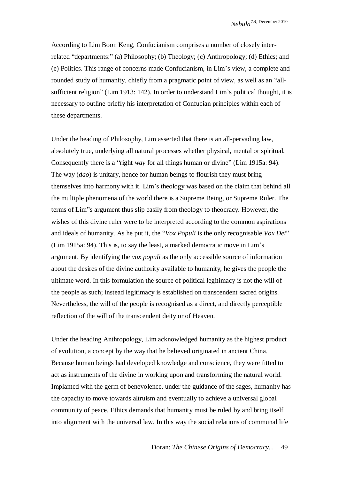According to Lim Boon Keng, Confucianism comprises a number of closely interrelated "departments:" (a) Philosophy; (b) Theology; (c) Anthropology; (d) Ethics; and (e) Politics. This range of concerns made Confucianism, in Lim"s view, a complete and rounded study of humanity, chiefly from a pragmatic point of view, as well as an "allsufficient religion" (Lim 1913: 142). In order to understand Lim"s political thought, it is necessary to outline briefly his interpretation of Confucian principles within each of these departments.

Under the heading of Philosophy, Lim asserted that there is an all-pervading law, absolutely true, underlying all natural processes whether physical, mental or spiritual. Consequently there is a "right *way* for all things human or divine" (Lim 1915a: 94). The way (*dao*) is unitary, hence for human beings to flourish they must bring themselves into harmony with it. Lim"s theology was based on the claim that behind all the multiple phenomena of the world there is a Supreme Being, or Supreme Ruler. The terms of Lim"s argument thus slip easily from theology to theocracy. However, the wishes of this divine ruler were to be interpreted according to the common aspirations and ideals of humanity. As he put it, the "*Vox Populi* is the only recognisable *Vox Dei*" (Lim 1915a: 94). This is, to say the least, a marked democratic move in Lim"s argument. By identifying the *vox populi* as the only accessible source of information about the desires of the divine authority available to humanity, he gives the people the ultimate word. In this formulation the source of political legitimacy is not the will of the people as such; instead legitimacy is established on transcendent sacred origins. Nevertheless, the will of the people is recognised as a direct, and directly perceptible reflection of the will of the transcendent deity or of Heaven.

Under the heading Anthropology, Lim acknowledged humanity as the highest product of evolution, a concept by the way that he believed originated in ancient China. Because human beings had developed knowledge and conscience, they were fitted to act as instruments of the divine in working upon and transforming the natural world. Implanted with the germ of benevolence, under the guidance of the sages, humanity has the capacity to move towards altruism and eventually to achieve a universal global community of peace. Ethics demands that humanity must be ruled by and bring itself into alignment with the universal law. In this way the social relations of communal life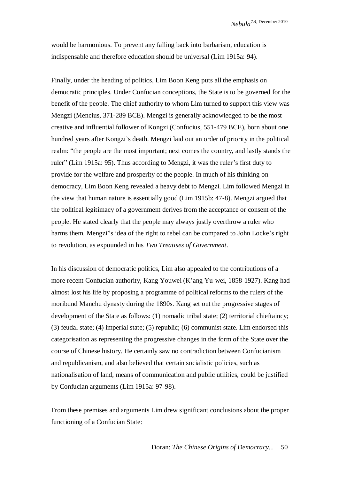would be harmonious. To prevent any falling back into barbarism, education is indispensable and therefore education should be universal (Lim 1915a: 94).

Finally, under the heading of politics, Lim Boon Keng puts all the emphasis on democratic principles. Under Confucian conceptions, the State is to be governed for the benefit of the people. The chief authority to whom Lim turned to support this view was Mengzi (Mencius, 371-289 BCE). Mengzi is generally acknowledged to be the most creative and influential follower of Kongzi (Confucius, 551-479 BCE), born about one hundred years after Kongzi"s death. Mengzi laid out an order of priority in the political realm: "the people are the most important; next comes the country, and lastly stands the ruler" (Lim 1915a: 95). Thus according to Mengzi, it was the ruler's first duty to provide for the welfare and prosperity of the people. In much of his thinking on democracy, Lim Boon Keng revealed a heavy debt to Mengzi. Lim followed Mengzi in the view that human nature is essentially good (Lim 1915b: 47-8). Mengzi argued that the political legitimacy of a government derives from the acceptance or consent of the people. He stated clearly that the people may always justly overthrow a ruler who harms them. Mengzi"s idea of the right to rebel can be compared to John Locke's right to revolution, as expounded in his *Two Treatises of Government*.

In his discussion of democratic politics, Lim also appealed to the contributions of a more recent Confucian authority, Kang Youwei (K"ang Yu-wei, 1858-1927). Kang had almost lost his life by proposing a programme of political reforms to the rulers of the moribund Manchu dynasty during the 1890s. Kang set out the progressive stages of development of the State as follows: (1) nomadic tribal state; (2) territorial chieftaincy; (3) feudal state; (4) imperial state; (5) republic; (6) communist state. Lim endorsed this categorisation as representing the progressive changes in the form of the State over the course of Chinese history. He certainly saw no contradiction between Confucianism and republicanism, and also believed that certain socialistic policies, such as nationalisation of land, means of communication and public utilities, could be justified by Confucian arguments (Lim 1915a: 97-98).

From these premises and arguments Lim drew significant conclusions about the proper functioning of a Confucian State: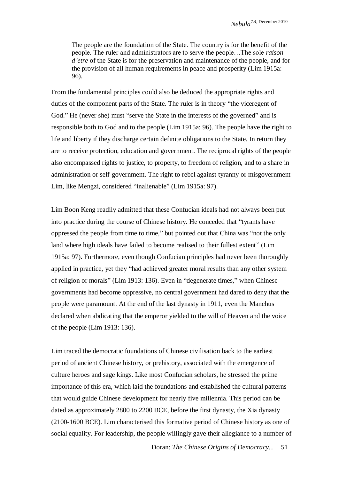The people are the foundation of the State. The country is for the benefit of the people. The ruler and administrators are to serve the people…The sole *raison d'etre* of the State is for the preservation and maintenance of the people, and for the provision of all human requirements in peace and prosperity (Lim 1915a: 96).

From the fundamental principles could also be deduced the appropriate rights and duties of the component parts of the State. The ruler is in theory "the viceregent of God." He (never she) must "serve the State in the interests of the governed" and is responsible both to God and to the people (Lim 1915a: 96). The people have the right to life and liberty if they discharge certain definite obligations to the State. In return they are to receive protection, education and government. The reciprocal rights of the people also encompassed rights to justice, to property, to freedom of religion, and to a share in administration or self-government. The right to rebel against tyranny or misgovernment Lim, like Mengzi, considered "inalienable" (Lim 1915a: 97).

Lim Boon Keng readily admitted that these Confucian ideals had not always been put into practice during the course of Chinese history. He conceded that "tyrants have oppressed the people from time to time," but pointed out that China was "not the only land where high ideals have failed to become realised to their fullest extent" (Lim 1915a: 97). Furthermore, even though Confucian principles had never been thoroughly applied in practice, yet they "had achieved greater moral results than any other system of religion or morals" (Lim 1913: 136). Even in "degenerate times," when Chinese governments had become oppressive, no central government had dared to deny that the people were paramount. At the end of the last dynasty in 1911, even the Manchus declared when abdicating that the emperor yielded to the will of Heaven and the voice of the people (Lim 1913: 136).

Lim traced the democratic foundations of Chinese civilisation back to the earliest period of ancient Chinese history, or prehistory, associated with the emergence of culture heroes and sage kings. Like most Confucian scholars, he stressed the prime importance of this era, which laid the foundations and established the cultural patterns that would guide Chinese development for nearly five millennia. This period can be dated as approximately 2800 to 2200 BCE, before the first dynasty, the Xia dynasty (2100-1600 BCE). Lim characterised this formative period of Chinese history as one of social equality. For leadership, the people willingly gave their allegiance to a number of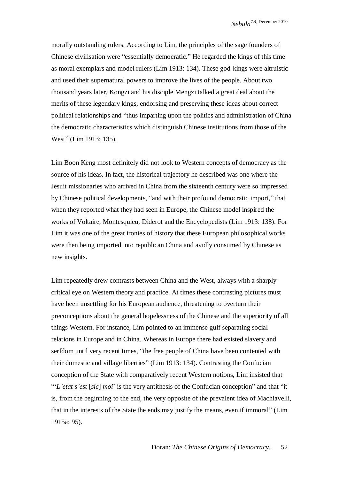morally outstanding rulers. According to Lim, the principles of the sage founders of Chinese civilisation were "essentially democratic." He regarded the kings of this time as moral exemplars and model rulers (Lim 1913: 134). These god-kings were altruistic and used their supernatural powers to improve the lives of the people. About two thousand years later, Kongzi and his disciple Mengzi talked a great deal about the merits of these legendary kings, endorsing and preserving these ideas about correct political relationships and "thus imparting upon the politics and administration of China the democratic characteristics which distinguish Chinese institutions from those of the West" (Lim 1913: 135).

Lim Boon Keng most definitely did not look to Western concepts of democracy as the source of his ideas. In fact, the historical trajectory he described was one where the Jesuit missionaries who arrived in China from the sixteenth century were so impressed by Chinese political developments, "and with their profound democratic import," that when they reported what they had seen in Europe, the Chinese model inspired the works of Voltaire, Montesquieu, Diderot and the Encyclopedists (Lim 1913: 138). For Lim it was one of the great ironies of history that these European philosophical works were then being imported into republican China and avidly consumed by Chinese as new insights.

Lim repeatedly drew contrasts between China and the West, always with a sharply critical eye on Western theory and practice. At times these contrasting pictures must have been unsettling for his European audience, threatening to overturn their preconceptions about the general hopelessness of the Chinese and the superiority of all things Western. For instance, Lim pointed to an immense gulf separating social relations in Europe and in China. Whereas in Europe there had existed slavery and serfdom until very recent times, "the free people of China have been contented with their domestic and village liberties" (Lim 1913: 134). Contrasting the Confucian conception of the State with comparatively recent Western notions, Lim insisted that ""*L'etat s'est* [*sic*] *moi*" is the very antithesis of the Confucian conception" and that "it is, from the beginning to the end, the very opposite of the prevalent idea of Machiavelli, that in the interests of the State the ends may justify the means, even if immoral" (Lim 1915a: 95).